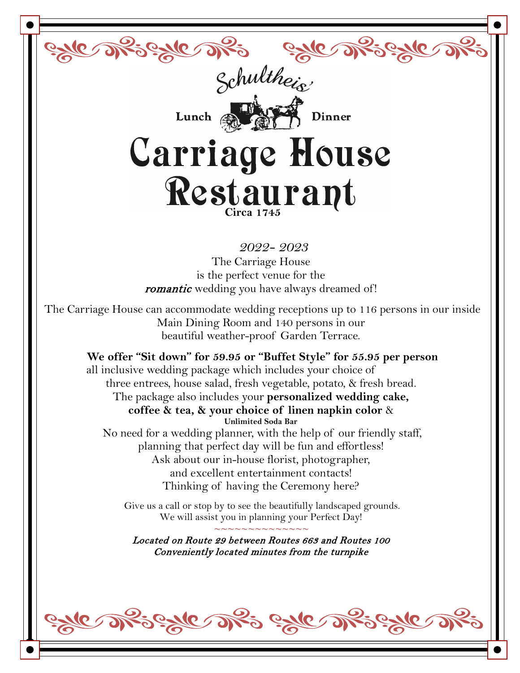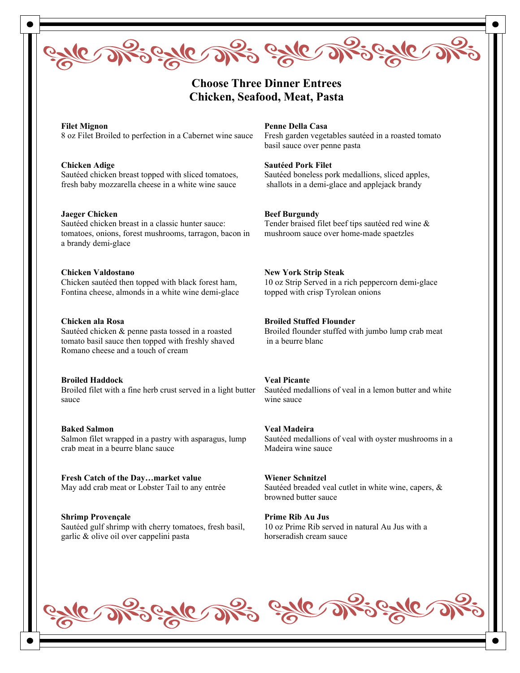

## **Choose Three Dinner Entrees Chicken, Seafood, Meat, Pasta**

**Filet Mignon** 8 oz Filet Broiled to perfection in a Cabernet wine sauce

**Chicken Adige** Sautéed chicken breast topped with sliced tomatoes, fresh baby mozzarella cheese in a white wine sauce

**Jaeger Chicken** Sautéed chicken breast in a classic hunter sauce: tomatoes, onions, forest mushrooms, tarragon, bacon in a brandy demi-glace

**Chicken Valdostano** Chicken sautéed then topped with black forest ham, Fontina cheese, almonds in a white wine demi-glace

#### **Chicken ala Rosa**

Sautéed chicken & penne pasta tossed in a roasted tomato basil sauce then topped with freshly shaved Romano cheese and a touch of cream

**Broiled Haddock**

Broiled filet with a fine herb crust served in a light butter sauce

**Baked Salmon** Salmon filet wrapped in a pastry with asparagus, lump crab meat in a beurre blanc sauce

**Fresh Catch of the Day…market value** May add crab meat or Lobster Tail to any entrée

**Shrimp Provençale** Sautéed gulf shrimp with cherry tomatoes, fresh basil, garlic & olive oil over cappelini pasta

#### **Penne Della Casa**

Fresh garden vegetables sautéed in a roasted tomato basil sauce over penne pasta

**Sautéed Pork Filet**

Sautéed boneless pork medallions, sliced apples, shallots in a demi-glace and applejack brandy

**Beef Burgundy**

Tender braised filet beef tips sautéed red wine & mushroom sauce over home-made spaetzles

#### **New York Strip Steak**

10 oz Strip Served in a rich peppercorn demi-glace topped with crisp Tyrolean onions

#### **Broiled Stuffed Flounder**

Broiled flounder stuffed with jumbo lump crab meat in a beurre blanc

#### **Veal Picante**

Sautéed medallions of veal in a lemon butter and white wine sauce

**Veal Madeira**

Sautéed medallions of veal with oyster mushrooms in a Madeira wine sauce

**Wiener Schnitzel** Sautéed breaded veal cutlet in white wine, capers, & browned butter sauce

**Prime Rib Au Jus**  10 oz Prime Rib served in natural Au Jus with a horseradish cream sauce

<u>le s</u>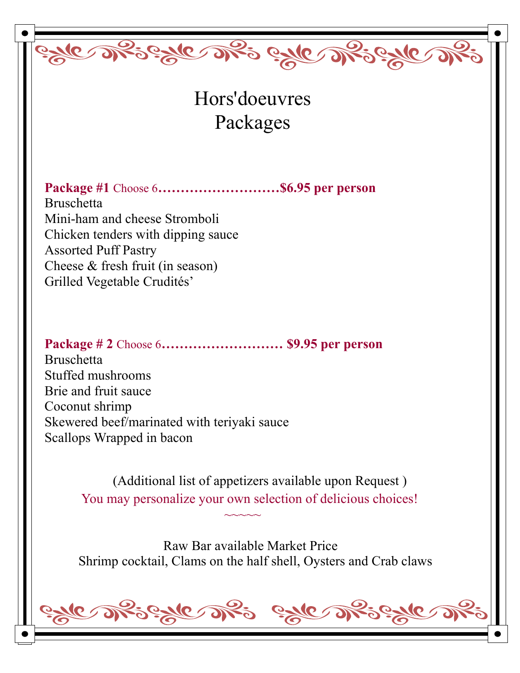Hors'doeuvres Packages

<u>este afseste afs este afseste afs</u>

**Package #1** Choose 6**………………………\$6.95 per person** Bruschetta Mini-ham and cheese Stromboli Chicken tenders with dipping sauce Assorted Puff Pastry Cheese & fresh fruit (in season) Grilled Vegetable Crudités'

**Package # 2** Choose 6**……………………… \$9.95 per person** Bruschetta Stuffed mushrooms Brie and fruit sauce Coconut shrimp Skewered beef/marinated with teriyaki sauce Scallops Wrapped in bacon

 $~\sim$   $~\sim$   $~\sim$   $~\sim$   $~\sim$ 

(Additional list of appetizers available upon Request ) You may personalize your own selection of delicious choices!

 Raw Bar available Market Price Shrimp cocktail, Clams on the half shell, Oysters and Crab claws

este Rieste Ri este Rieste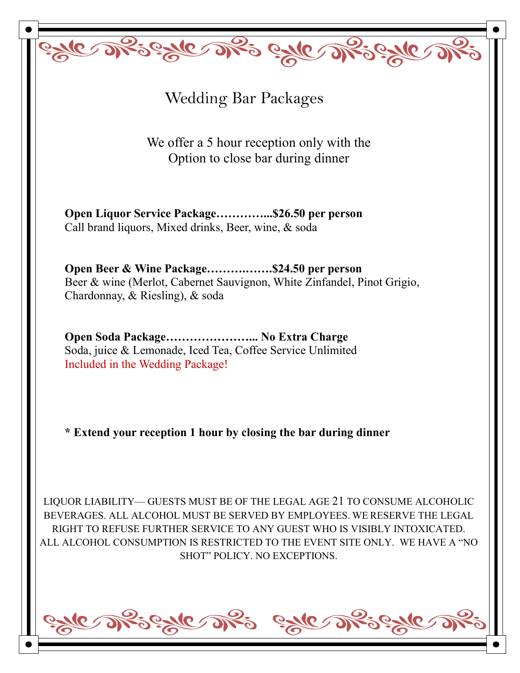Wedding Bar Packages

BUC DRS BUC DRS GALE DRS GALE

We offer a 5 hour reception only with the Option to close bar during dinner

**Open Liquor Service Package…………...\$26.50 per person** Call brand liquors, Mixed drinks, Beer, wine, & soda

**Open Beer & Wine Package……….…….\$24.50 per person** Beer & wine (Merlot, Cabernet Sauvignon, White Zinfandel, Pinot Grigio, Chardonnay, & Riesling), & soda

**Open Soda Package…………………... No Extra Charge** Soda, juice & Lemonade, Iced Tea, Coffee Service Unlimited Included in the Wedding Package!

**\* Extend your reception 1 hour by closing the bar during dinner**

LIQUOR LIABILITY— GUESTS MUST BE OF THE LEGAL AGE 21 TO CONSUME ALCOHOLIC BEVERAGES. ALL ALCOHOL MUST BE SERVED BY EMPLOYEES. WE RESERVE THE LEGAL RIGHT TO REFUSE FURTHER SERVICE TO ANY GUEST WHO IS VISIBLY INTOXICATED. ALL ALCOHOL CONSUMPTION IS RESTRICTED TO THE EVENT SITE ONLY. WE HAVE A "NO SHOT" POLICY. NO EXCEPTIONS.

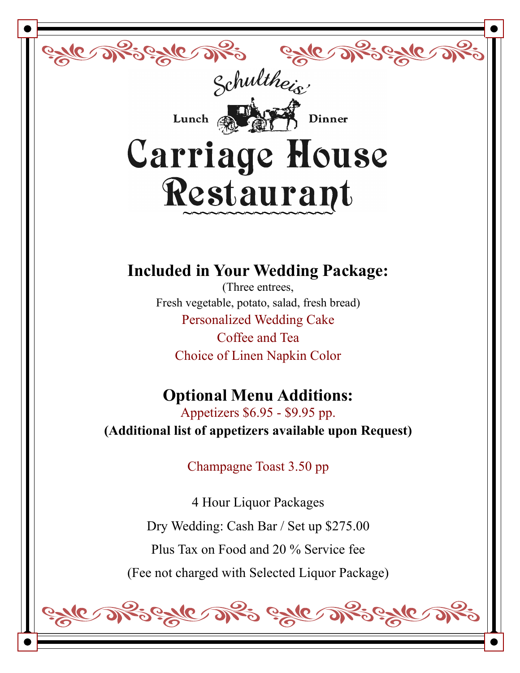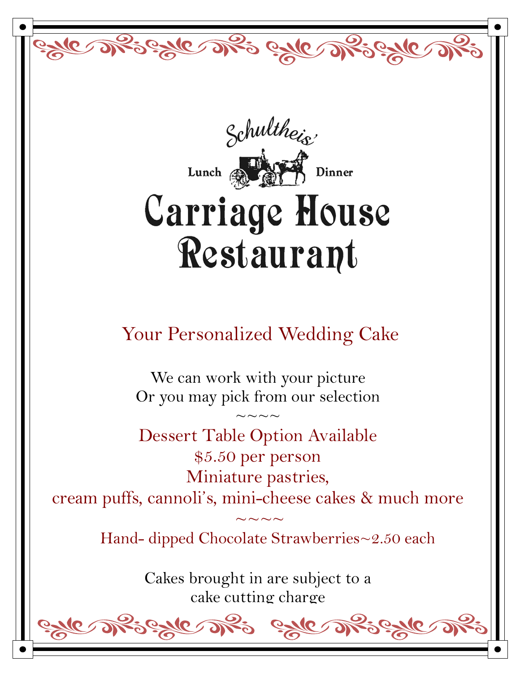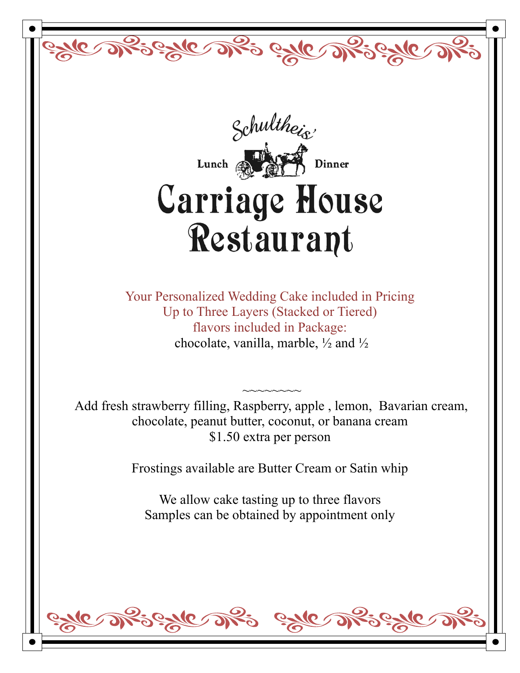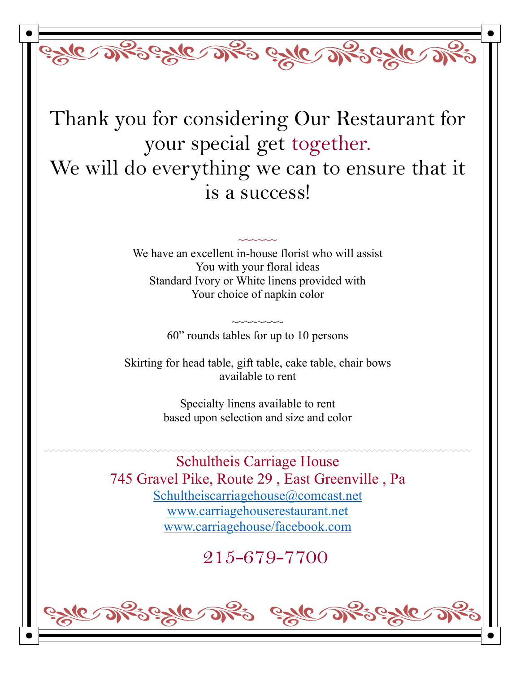Thank you for considering Our Restaurant for your special get together. We will do everything we can to ensure that it is a success!

Byle of Bigdle of Bigdle

We have an excellent in-house florist who will assist You with your floral ideas Standard Ivory or White linens provided with Your choice of napkin color

 $\sim$  $\sim$  $\sim$  $\sim$  $\sim$ 

~~~~~~~~ 60" rounds tables for up to 10 persons

Skirting for head table, gift table, cake table, chair bows available to rent

> Specialty linens available to rent based upon selection and size and color

Schultheis Carriage House 745 Gravel Pike, Route 29 , East Greenville , Pa [Schultheiscarriagehouse@comcast.net](mailto:Schultheiscarriagehouse@comcast.net) [www.carriagehouserestaurant.net](http://www.carriagehouserestaurant.net/) [www.carriagehouse/facebook.com](http://www.carriagehouse/facebook.com)

215-679-7700

 $\mathbf{Q} \leq$ 

 $\tilde{\mathcal{S}}$ 

le af